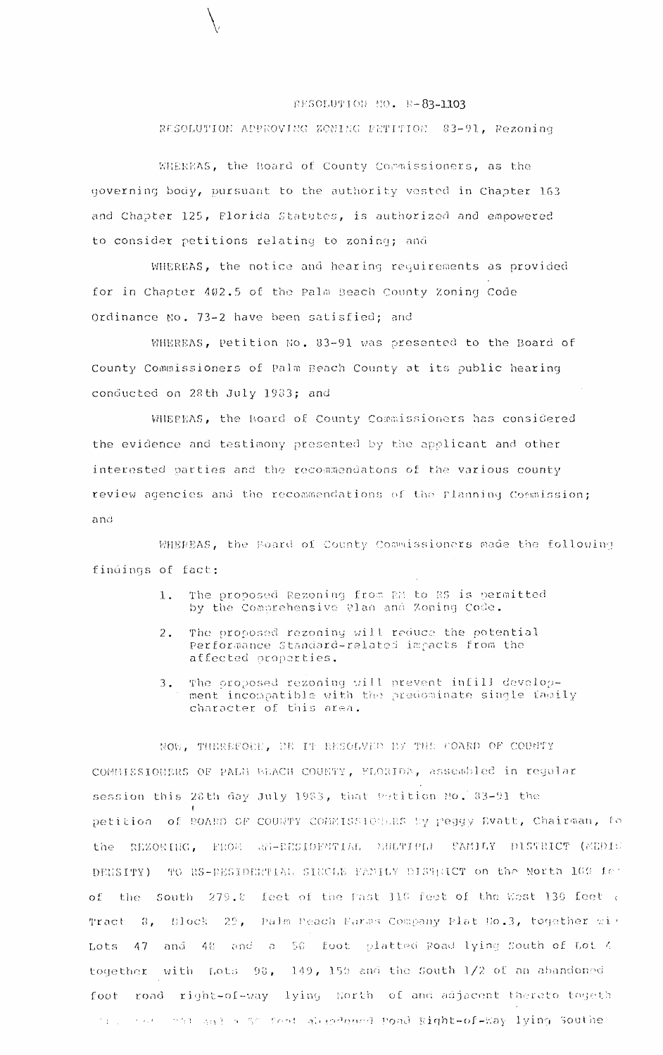## RESOLUTION NO. R-83-1103

RESOLUTION APPROVING ZONING PETITION 83-91, Rezoning

WHEREAS, the Board of County Commissioners, as the governing body, pursuant to the authority vested in Chapter 163 and Chapter 125, Florida Statutes, is authorized and empowered to consider petitions relating to zoning; and

WHEREAS, the notice and hearing requirements as provided for in Chapter 402.5 of the Palm Beach County Zoning Code Ordinance No. 73-2 have been satisfied; and

WHEREAS, Petition No. 83-91 was presented to the Board of County Commissioners of Palm Beach County at its public hearing conducted on 28th July 1983; and

WHEREAS, the Board of County Commissioners has considered the evidence and testimony presented by the applicant and other interested parties and the recommendatons of the various county review agencies and the recommendations of the Planning Commission; and

WHEREAS, the Board of County Commissioners made the following findings of fact:

- The proposed Rezoning from RM to RS is permitted  $\mathbf{1}$ . by the Comprehensive Plan and Zoning Code.
- The proposed rezoning will reduce the potential  $\overline{2}$ . Performance Standard-related impacts from the affected properties.
- The proposed rezoning will prevent infill develop- $3.$ ment incompatible with the predominate single family character of this area.

NOW. THEREFORE, BE IT RESOLVED BY THE COARD OF COUNTY COMMISSIONERS OF PALM BEACH COUNTY, FLORIDA, assembled in regular session this 28th day July 1983, that Petition No. 83-91 the petition of BOARD OF COURTY COMMISSIONERS By Peggy Evatt, Chairman, fo the REZONING, FROM AM-RESIDENTIAL MULTIPLE FAMILY PISTRICT (MEDIU DENSITY) TO RS-RESIDENTIAL SINCLE FAMILY DISTRICT on the North 109 fet of the South 279.8 feet of the Fast 110 feet of the West 130 feet a Block 29, Palm Peach Farms Company Plat No.3, together with Tract 8. and 48 and a 50 foot platted Road lying South of Lot 4  $Tots$ 47 together with Lots 98, 149, 159 and the South 1/2 of an abandoned road right-of-way lying Horth of and adjacent thereto togeth foot The same and a so feat alredoned Poad Right-of-Way lying Souther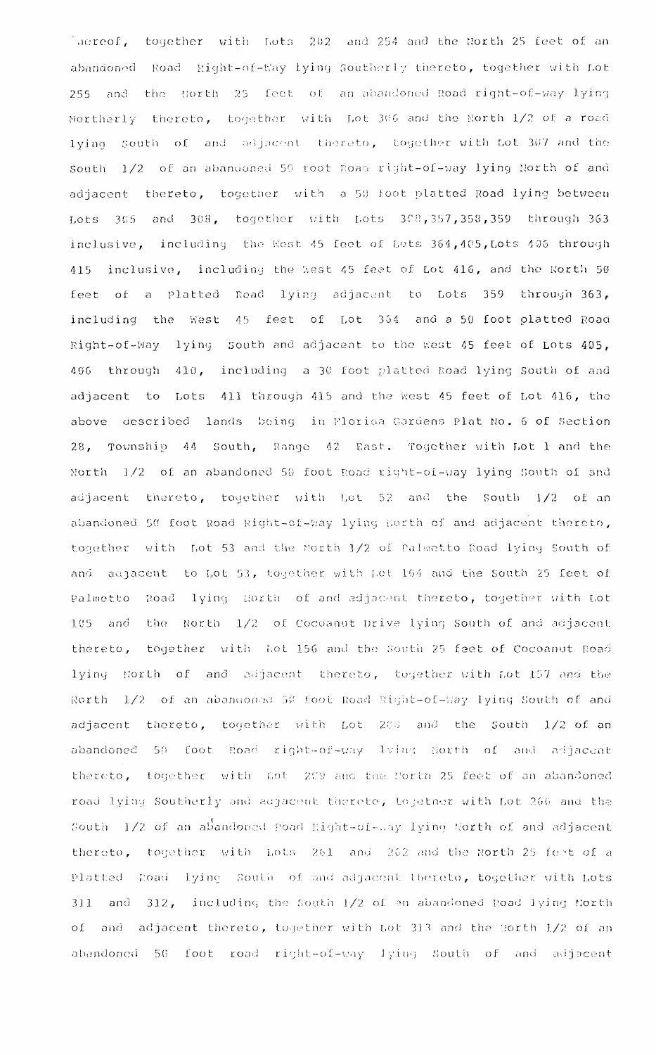laereof, together with Lots 202 and 254 and the North 25 feet of an abandoned Road Right-of-Way lying Southerly thereto, together with Lot 255 and the North 25 feet of an abandoned Road right-of-way lying Northerly thereto, together with Lot 306 and the North 1/2 of a road lying South of and adjacent thereto, together with Lot 307 and the South 1/2 of an abandoned 50 foot Road right-of-way lying North of and adjacent thereto, together with a 50 foot platted Road lying between Lots 305 and 308, together with Lots 308,357,358,359 through 363 inclusive, including the West 45 feet of Lots 364, 405, Lots 405 through inclusive, including the West 45 feet of Lot 416, and the North 50 415 feet of a Platted Road lying adjacent to Lots 359 through 363, including the West 45 feet of Lot 364 and a 50 foot platted Road Right-of-Way lying South and adjacent to the West 45 feet of Lots 405, 406 through 410, including a 30 foot platted Road lying South of and adjacent to Lots 411 through 415 and the West 45 feet of Lot 416, the above described lands being in Florida Gardens Plat No. 6 of Section 28, Township 44 South, Range 42 East. Together with Lot 1 and the North 1/2 of an abandoned 50 foot Road right-of-way lying South of and adjacent thereto, together with Lot 52 and the South 1/2 of an abandoned 50 foot Road Right-of-Way lying North of and adjacent thereto, together with Lot 53 and the North 1/2 of Palmetto Road lying South of and adjacent to Lot 53, together with Let 104 and the South 25 feet of Palmetto Road lying North of and adjacent thereto, together with Lot 105 and the North 1/2 of Cocoanut Drive lying South of and adjacent thereto, together with Lot 156 and the South 25 feet of Cocoanut Road lying North of and adjacent thereto, together with Lot 157 and the North 1/2 of an abandoned 50 foot Road Right-of-Way lying South of and adjacent thereto, together with Lot 208 and the South 1/2 of an abandoned 50 foot Road right-of-way lying North of and adjacent thereto, together with Lot 209 and the North 25 feet of an abandoned road lying Southerly and adjacent therete, together with Lot 260 and the South 1/2 of an abandoned Road Right-of-way lying North of and adjacent thereto, together with Lots 261 and 262 and the North 25 feet of a Platted Road lying South of and adjacent thereto, together with Lots 311 and 312, including the South 1/2 of an abandoned Road lying North of and adjacent thereto, together with Lot 313 and the Horth 1/2 of an abandoned 56 foot road right-of-way lying South of and adjacent